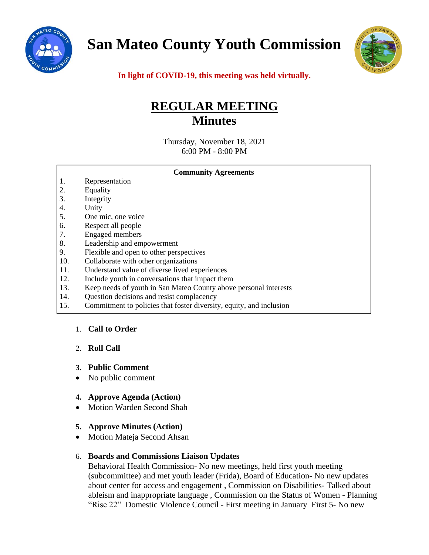

**San Mateo County Youth Commission**



**In light of COVID-19, this meeting was held virtually.**

# **REGULAR MEETING Minutes**

Thursday, November 18, 2021 6:00 PM - 8:00 PM

|     | <b>Community Agreements</b>                                         |
|-----|---------------------------------------------------------------------|
| 1.  | Representation                                                      |
| 2.  | Equality                                                            |
| 3.  | Integrity                                                           |
| 4.  | Unity                                                               |
| 5.  | One mic, one voice                                                  |
| 6.  | Respect all people                                                  |
| 7.  | <b>Engaged</b> members                                              |
| 8.  | Leadership and empowerment                                          |
| 9.  | Flexible and open to other perspectives                             |
| 10. | Collaborate with other organizations                                |
| 11. | Understand value of diverse lived experiences                       |
| 12. | Include youth in conversations that impact them                     |
| 13. | Keep needs of youth in San Mateo County above personal interests    |
| 14. | Question decisions and resist complacency                           |
| 15. | Commitment to policies that foster diversity, equity, and inclusion |

# 1. **Call to Order**

# 2. **Roll Call**

### **3. Public Comment**

- No public comment
- **4. Approve Agenda (Action)**
- Motion Warden Second Shah

# **5. Approve Minutes (Action)**

• Motion Mateja Second Ahsan

# 6. **Boards and Commissions Liaison Updates**

Behavioral Health Commission- No new meetings, held first youth meeting (subcommittee) and met youth leader (Frida), Board of Education- No new updates about center for access and engagement , Commission on Disabilities- Talked about ableism and inappropriate language , Commission on the Status of Women - Planning "Rise 22" Domestic Violence Council - First meeting in January First 5- No new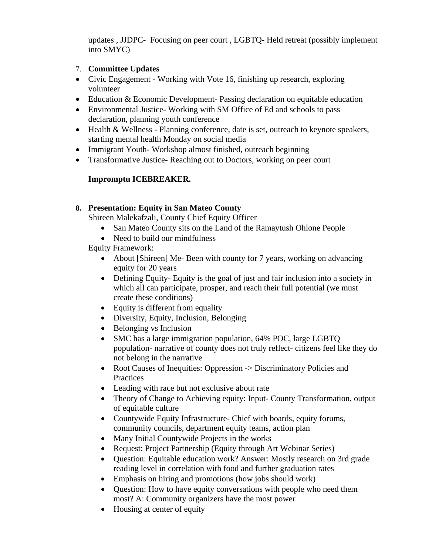updates , JJDPC- Focusing on peer court , LGBTQ- Held retreat (possibly implement into SMYC)

# 7. **Committee Updates**

- Civic Engagement Working with Vote 16, finishing up research, exploring volunteer
- Education & Economic Development- Passing declaration on equitable education
- Environmental Justice-Working with SM Office of Ed and schools to pass declaration, planning youth conference
- Health & Wellness Planning conference, date is set, outreach to keynote speakers, starting mental health Monday on social media
- Immigrant Youth-Workshop almost finished, outreach beginning
- Transformative Justice-Reaching out to Doctors, working on peer court

# **Impromptu ICEBREAKER.**

# **8. Presentation: Equity in San Mateo County**

Shireen Malekafzali, County Chief Equity Officer

- San Mateo County sits on the Land of the Ramaytush Ohlone People
- Need to build our mindfulness

Equity Framework:

- About [Shireen] Me- Been with county for 7 years, working on advancing equity for 20 years
- Defining Equity- Equity is the goal of just and fair inclusion into a society in which all can participate, prosper, and reach their full potential (we must create these conditions)
- Equity is different from equality
- Diversity, Equity, Inclusion, Belonging
- Belonging vs Inclusion
- SMC has a large immigration population, 64% POC, large LGBTO population- narrative of county does not truly reflect- citizens feel like they do not belong in the narrative
- Root Causes of Inequities: Oppression -> Discriminatory Policies and Practices
- Leading with race but not exclusive about rate
- Theory of Change to Achieving equity: Input- County Transformation, output of equitable culture
- Countywide Equity Infrastructure- Chief with boards, equity forums, community councils, department equity teams, action plan
- Many Initial Countywide Projects in the works
- Request: Project Partnership (Equity through Art Webinar Series)
- Question: Equitable education work? Answer: Mostly research on 3rd grade reading level in correlation with food and further graduation rates
- Emphasis on hiring and promotions (how jobs should work)
- Question: How to have equity conversations with people who need them most? A: Community organizers have the most power
- Housing at center of equity